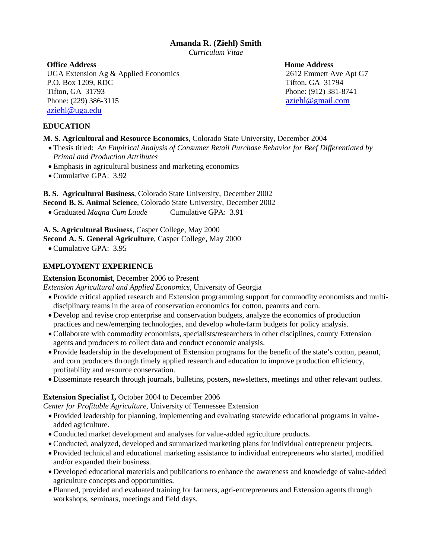## **Amanda R. (Ziehl) Smith**

*Curriculum Vitae* 

## **Office Address Home Address Research Address Research Address Research Address Research Address Research Address Research Address Research Address Research Address Research Address Research Address Research Address Resear**

UGA Extension Ag & Applied Economics 2612 Emmett Ave Apt G7 P.O. Box 1209, RDC Tifton, GA 31794 Tifton, GA 31793 Phone: (912) 381-8741 Phone: (229) 386-3115 aziehl@gmail.com [aziehl@uga.edu](mailto:aziehl@uga.edu)

## **EDUCATION**

## **M. S. Agricultural and Resource Economics**, Colorado State University, December 2004

- Thesis titled: *An Empirical Analysis of Consumer Retail Purchase Behavior for Beef Differentiated by Primal and Production Attributes*
- Emphasis in agricultural business and marketing economics
- Cumulative GPA: 3.92

**B. S. Agricultural Business**, Colorado State University, December 2002

- **Second B. S. Animal Science**, Colorado State University, December 2002
- Graduated *Magna Cum Laude* Cumulative GPA: 3.91

**A. S. Agricultural Business**, Casper College, May 2000

**Second A. S. General Agriculture**, Casper College, May 2000

• Cumulative GPA: 3.95

## **EMPLOYMENT EXPERIENCE**

## **Extension Economist**, December 2006 to Present

*Extension Agricultural and Applied Economics,* University of Georgia

- Provide critical applied research and Extension programming support for commodity economists and multidisciplinary teams in the area of conservation economics for cotton, peanuts and corn.
- Develop and revise crop enterprise and conservation budgets, analyze the economics of production practices and new/emerging technologies, and develop whole-farm budgets for policy analysis.
- Collaborate with commodity economists, specialists/researchers in other disciplines, county Extension agents and producers to collect data and conduct economic analysis.
- Provide leadership in the development of Extension programs for the benefit of the state's cotton, peanut, and corn producers through timely applied research and education to improve production efficiency, profitability and resource conservation.
- Disseminate research through journals, bulletins, posters, newsletters, meetings and other relevant outlets.

## **Extension Specialist I,** October 2004 to December 2006

*Center for Profitable Agriculture,* University of Tennessee Extension

- Provided leadership for planning, implementing and evaluating statewide educational programs in valueadded agriculture.
- Conducted market development and analyses for value-added agriculture products.
- Conducted, analyzed, developed and summarized marketing plans for individual entrepreneur projects.
- Provided technical and educational marketing assistance to individual entrepreneurs who started, modified and/or expanded their business.
- Developed educational materials and publications to enhance the awareness and knowledge of value-added agriculture concepts and opportunities.
- Planned, provided and evaluated training for farmers, agri-entrepreneurs and Extension agents through workshops, seminars, meetings and field days.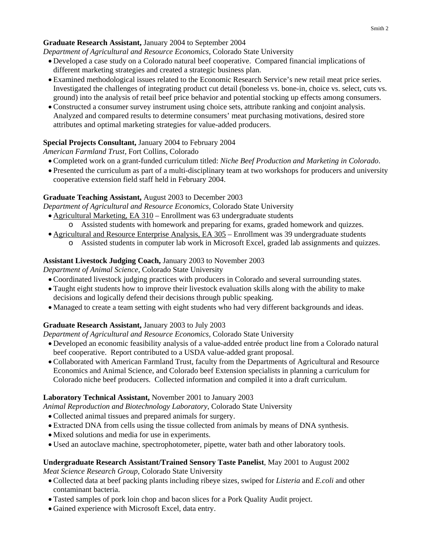## **Graduate Research Assistant,** January 2004 to September 2004

*Department of Agricultural and Resource Economics,* Colorado State University

- Developed a case study on a Colorado natural beef cooperative. Compared financial implications of different marketing strategies and created a strategic business plan.
- Examined methodological issues related to the Economic Research Service's new retail meat price series. Investigated the challenges of integrating product cut detail (boneless vs. bone-in, choice vs. select, cuts vs. ground) into the analysis of retail beef price behavior and potential stocking up effects among consumers.
- Constructed a consumer survey instrument using choice sets, attribute ranking and conjoint analysis. Analyzed and compared results to determine consumers' meat purchasing motivations, desired store attributes and optimal marketing strategies for value-added producers.

# **Special Projects Consultant,** January 2004 to February 2004

*American Farmland Trust,* Fort Collins, Colorado

- Completed work on a grant-funded curriculum titled: *Niche Beef Production and Marketing in Colorado*.
- Presented the curriculum as part of a multi-disciplinary team at two workshops for producers and university cooperative extension field staff held in February 2004.

# **Graduate Teaching Assistant,** August 2003 to December 2003

*Department of Agricultural and Resource Economics,* Colorado State University

- Agricultural Marketing, EA 310 Enrollment was 63 undergraduate students
	- o Assisted students with homework and preparing for exams, graded homework and quizzes.
- Agricultural and Resource Enterprise Analysis, EA 305 Enrollment was 39 undergraduate students
	- o Assisted students in computer lab work in Microsoft Excel, graded lab assignments and quizzes.

# **Assistant Livestock Judging Coach,** January 2003 to November 2003

*Department of Animal Science*, Colorado State University

- Coordinated livestock judging practices with producers in Colorado and several surrounding states.
- Taught eight students how to improve their livestock evaluation skills along with the ability to make decisions and logically defend their decisions through public speaking.
- Managed to create a team setting with eight students who had very different backgrounds and ideas.

# **Graduate Research Assistant,** January 2003 to July 2003

*Department of Agricultural and Resource Economics,* Colorado State University

- Developed an economic feasibility analysis of a value-added entrée product line from a Colorado natural beef cooperative. Report contributed to a USDA value-added grant proposal.
- Collaborated with American Farmland Trust, faculty from the Departments of Agricultural and Resource Economics and Animal Science, and Colorado beef Extension specialists in planning a curriculum for Colorado niche beef producers. Collected information and compiled it into a draft curriculum.

# **Laboratory Technical Assistant,** November 2001 to January 2003

*Animal Reproduction and Biotechnology Laboratory*, Colorado State University

- Collected animal tissues and prepared animals for surgery.
- Extracted DNA from cells using the tissue collected from animals by means of DNA synthesis.
- Mixed solutions and media for use in experiments.
- Used an autoclave machine, spectrophotometer, pipette, water bath and other laboratory tools.

### **Undergraduate Research Assistant/Trained Sensory Taste Panelist**, May 2001 to August 2002 *Meat Science Research Group*, Colorado State University

- Collected data at beef packing plants including ribeye sizes, swiped for *Listeria* and *E.coli* and other contaminant bacteria.
- Tasted samples of pork loin chop and bacon slices for a Pork Quality Audit project.
- Gained experience with Microsoft Excel, data entry.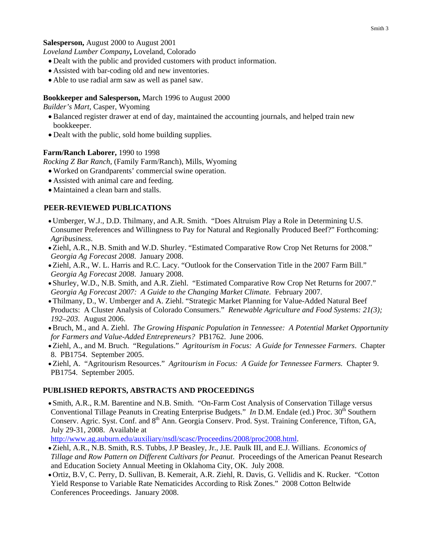## **Salesperson,** August 2000 to August 2001

*Loveland Lumber Company***,** Loveland, Colorado

- Dealt with the public and provided customers with product information.
- Assisted with bar-coding old and new inventories.
- Able to use radial arm saw as well as panel saw.

## **Bookkeeper and Salesperson,** March 1996 to August 2000

*Builder's Mart*, Casper, Wyoming

- Balanced register drawer at end of day, maintained the accounting journals, and helped train new bookkeeper.
- Dealt with the public, sold home building supplies.

## **Farm/Ranch Laborer,** 1990 to 1998

*Rocking Z Bar Ranch,* (Family Farm/Ranch), Mills, Wyoming

- Worked on Grandparents' commercial swine operation.
- Assisted with animal care and feeding.
- Maintained a clean barn and stalls.

## **PEER-REVIEWED PUBLICATIONS**

- Umberger, W.J., D.D. Thilmany, and A.R. Smith. "Does Altruism Play a Role in Determining U.S. Consumer Preferences and Willingness to Pay for Natural and Regionally Produced Beef?" Forthcoming: *Agribusiness*.
- Ziehl, A.R., N.B. Smith and W.D. Shurley. "Estimated Comparative Row Crop Net Returns for 2008." *Georgia Ag Forecast 2008*. January 2008.
- Ziehl, A.R., W. L. Harris and R.C. Lacy. "Outlook for the Conservation Title in the 2007 Farm Bill." *Georgia Ag Forecast 2008*. January 2008.
- Shurley, W.D., N.B. Smith, and A.R. Ziehl. "Estimated Comparative Row Crop Net Returns for 2007." *Georgia Ag Forecast 2007: A Guide to the Changing Market Climate*. February 2007.
- Thilmany, D., W. Umberger and A. Ziehl. "Strategic Market Planning for Value-Added Natural Beef Products: A Cluster Analysis of Colorado Consumers." *Renewable Agriculture and Food Systems: 21(3); 192–203*. August 2006.
- •Bruch, M., and A. Ziehl. *The Growing Hispanic Population in Tennessee: A Potential Market Opportunity for Farmers and Value-Added Entrepreneurs?* PB1762. June 2006.
- Ziehl, A., and M. Bruch. "Regulations." *Agritourism in Focus: A Guide for Tennessee Farmers*. Chapter 8. PB1754. September 2005.
- Ziehl, A. "Agritourism Resources." *Agritourism in Focus: A Guide for Tennessee Farmers.* Chapter 9. PB1754. September 2005.

## **PUBLISHED REPORTS, ABSTRACTS AND PROCEEDINGS**

• Smith, A.R., R.M. Barentine and N.B. Smith. "On-Farm Cost Analysis of Conservation Tillage versus Conventional Tillage Peanuts in Creating Enterprise Budgets." *In* D.M. Endale (ed.) Proc. 30<sup>th</sup> Southern Conserv. Agric. Syst. Conf. and 8<sup>th</sup> Ann. Georgia Conserv. Prod. Syst. Training Conference, Tifton, GA, July 29-31, 2008. Available at

[http://www.ag.auburn.edu/auxiliary/nsdl/scasc/Proceedins/2008/proc2008.html.](http://www.ag.auburn.edu/auxiliary/nsdl/scasc/Proceedins/2008/proc2008.html)

- Ziehl, A.R., N.B. Smith, R.S. Tubbs, J.P Beasley, Jr., J.E. Paulk III, and E.J. Willians. *Economics of Tillage and Row Pattern on Different Cultivars for Peanut*. Proceedings of the American Peanut Research and Education Society Annual Meeting in Oklahoma City, OK. July 2008.
- Ortiz, B.V, C. Perry, D. Sullivan, B. Kemerait, A.R. Ziehl, R. Davis, G. Vellidis and K. Rucker. "Cotton Yield Response to Variable Rate Nematicides According to Risk Zones." 2008 Cotton Beltwide Conferences Proceedings. January 2008.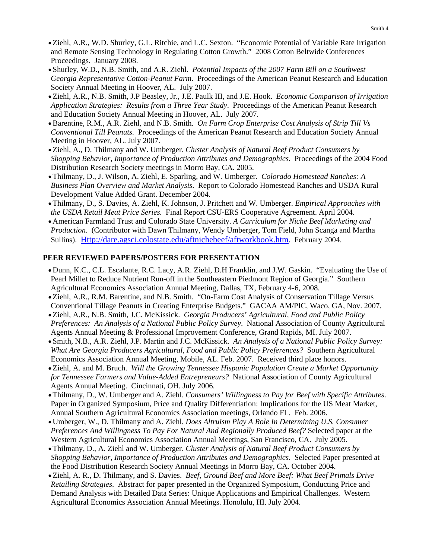- Ziehl, A.R., W.D. Shurley, G.L. Ritchie, and L.C. Sexton. "Economic Potential of Variable Rate Irrigation and Remote Sensing Technology in Regulating Cotton Growth." 2008 Cotton Beltwide Conferences Proceedings. January 2008.
- Shurley, W.D., N.B. Smith, and A.R. Ziehl. *Potential Impacts of the 2007 Farm Bill on a Southwest Georgia Representative Cotton-Peanut Farm*. Proceedings of the American Peanut Research and Education Society Annual Meeting in Hoover, AL. July 2007.
- Ziehl, A.R., N.B. Smith, J.P Beasley, Jr., J.E. Paulk III, and J.E. Hook. *Economic Comparison of Irrigation Application Strategies: Results from a Three Year Study*. Proceedings of the American Peanut Research and Education Society Annual Meeting in Hoover, AL. July 2007.
- •Barentine, R.M., A.R. Ziehl, and N.B. Smith. *On Farm Crop Enterprise Cost Analysis of Strip Till Vs Conventional Till Peanuts.* Proceedings of the American Peanut Research and Education Society Annual Meeting in Hoover, AL. July 2007.
- Ziehl, A., D. Thilmany and W. Umberger. *Cluster Analysis of Natural Beef Product Consumers by Shopping Behavior, Importance of Production Attributes and Demographics.* Proceedings of the 2004 Food Distribution Research Society meetings in Morro Bay, CA. 2005.
- Thilmany, D., J. Wilson, A. Ziehl, E. Sparling, and W. Umberger. *Colorado Homestead Ranches: A Business Plan Overview and Market Analysis*. Report to Colorado Homestead Ranches and USDA Rural Development Value Added Grant. December 2004.
- Thilmany, D., S. Davies, A. Ziehl, K. Johnson, J. Pritchett and W. Umberger. *Empirical Approaches with the USDA Retail Meat Price Series.* Final Report CSU-ERS Cooperative Agreement. April 2004.
- American Farmland Trust and Colorado State University. *A Curriculum for Niche Beef Marketing and Production*. (Contributor with Dawn Thilmany, Wendy Umberger, Tom Field, John Scanga and Martha Sullins). [Http://dare.agsci.colostate.edu/aftnichebeef/aftworkbook.htm](http://dare.agsci.colostate.edu/aftnichebeef/aftworkbook.htm). February 2004.

### **PEER REVIEWED PAPERS/POSTERS FOR PRESENTATION**

- Dunn, K.C., C.L. Escalante, R.C. Lacy, A.R. Ziehl, D.H Franklin, and J.W. Gaskin. "Evaluating the Use of Pearl Millet to Reduce Nutrient Run-off in the Southeastern Piedmont Region of Georgia." Southern Agricultural Economics Association Annual Meeting, Dallas, TX, February 4-6, 2008.
- Ziehl, A.R., R.M. Barentine, and N.B. Smith. "On-Farm Cost Analysis of Conservation Tillage Versus Conventional Tillage Peanuts in Creating Enterprise Budgets." GACAA AM/PIC, Waco, GA, Nov. 2007.
- Ziehl, A.R., N.B. Smith, J.C. McKissick. *Georgia Producers' Agricultural, Food and Public Policy Preferences: An Analysis of a National Public Policy Survey*. National Association of County Agricultural Agents Annual Meeting & Professional Improvement Conference, Grand Rapids, MI. July 2007.
- Smith, N.B., A.R. Ziehl, J.P. Martin and J.C. McKissick. *An Analysis of a National Public Policy Survey: What Are Georgia Producers Agricultural, Food and Public Policy Preferences?* Southern Agricultural Economics Association Annual Meeting, Mobile, AL. Feb. 2007. Received third place honors.
- Ziehl, A. and M. Bruch. *Will the Growing Tennessee Hispanic Population Create a Market Opportunity for Tennessee Farmers and Value-Added Entrepreneurs?* National Association of County Agricultural Agents Annual Meeting. Cincinnati, OH. July 2006.
- Thilmany, D., W. Umberger and A. Ziehl. *Consumers' Willingness to Pay for Beef with Specific Attributes*. Paper in Organized Symposium, Price and Quality Differentiation: Implications for the US Meat Market, Annual Southern Agricultural Economics Association meetings, Orlando FL. Feb. 2006.
- Umberger, W., D. Thilmany and A. Ziehl. *Does Altruism Play A Role In Determining U.S. Consumer Preferences And Willingness To Pay For Natural And Regionally Produced Beef?* Selected paper at the Western Agricultural Economics Association Annual Meetings, San Francisco, CA. July 2005.
- Thilmany, D., A. Ziehl and W. Umberger. *Cluster Analysis of Natural Beef Product Consumers by Shopping Behavior, Importance of Production Attributes and Demographics.* Selected Paper presented at the Food Distribution Research Society Annual Meetings in Morro Bay, CA. October 2004.
- Ziehl, A. R., D. Thilmany, and S. Davies. *Beef, Ground Beef and More Beef: What Beef Primals Drive Retailing Strategies*. Abstract for paper presented in the Organized Symposium, Conducting Price and Demand Analysis with Detailed Data Series: Unique Applications and Empirical Challenges. Western Agricultural Economics Association Annual Meetings. Honolulu, HI. July 2004.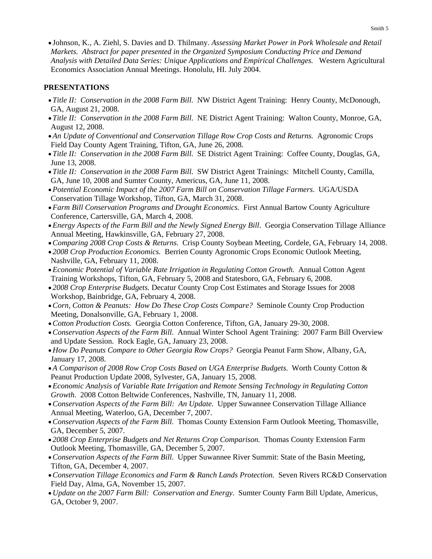• Johnson, K., A. Ziehl, S. Davies and D. Thilmany. *Assessing Market Power in Pork Wholesale and Retail Markets. Abstract for paper presented in the Organized Symposium Conducting Price and Demand Analysis with Detailed Data Series: Unique Applications and Empirical Challenges.* Western Agricultural Economics Association Annual Meetings. Honolulu, HI. July 2004.

### **PRESENTATIONS**

- *Title II: Conservation in the 2008 Farm Bill*. NW District Agent Training: Henry County, McDonough, GA, August 21, 2008.
- *Title II: Conservation in the 2008 Farm Bill*. NE District Agent Training: Walton County, Monroe, GA, August 12, 2008.
- *An Update of Conventional and Conservation Tillage Row Crop Costs and Returns.* Agronomic Crops Field Day County Agent Training, Tifton, GA, June 26, 2008.
- *Title II: Conservation in the 2008 Farm Bill*. SE District Agent Training: Coffee County, Douglas, GA, June 13, 2008.
- *Title II: Conservation in the 2008 Farm Bill*. SW District Agent Trainings: Mitchell County, Camilla, GA, June 10, 2008 and Sumter County, Americus, GA, June 11, 2008.
- *Potential Economic Impact of the 2007 Farm Bill on Conservation Tillage Farmers*. UGA/USDA Conservation Tillage Workshop, Tifton, GA, March 31, 2008.
- *Farm Bill Conservation Programs and Drought Economics.* First Annual Bartow County Agriculture Conference, Cartersville, GA, March 4, 2008.
- *Energy Aspects of the Farm Bill and the Newly Signed Energy Bill*. Georgia Conservation Tillage Alliance Annual Meeting, Hawkinsville, GA, February 27, 2008.
- •*Comparing 2008 Crop Costs & Returns.* Crisp County Soybean Meeting, Cordele, GA, February 14, 2008.
- *2008 Crop Production Economics.* Berrien County Agronomic Crops Economic Outlook Meeting, Nashville, GA, February 11, 2008.
- *Economic Potential of Variable Rate Irrigation in Regulating Cotton Growth.* Annual Cotton Agent Training Workshops, Tifton, GA, February 5, 2008 and Statesboro, GA, February 6, 2008.
- *2008 Crop Enterprise Budgets.* Decatur County Crop Cost Estimates and Storage Issues for 2008 Workshop, Bainbridge, GA, February 4, 2008.
- •*Corn, Cotton & Peanuts: How Do These Crop Costs Compare?* Seminole County Crop Production Meeting, Donalsonville, GA, February 1, 2008.
- •*Cotton Production Costs.* Georgia Cotton Conference, Tifton, GA, January 29-30, 2008.
- •*Conservation Aspects of the Farm Bill*. Annual Winter School Agent Training: 2007 Farm Bill Overview and Update Session. Rock Eagle, GA, January 23, 2008.
- *How Do Peanuts Compare to Other Georgia Row Crops?* Georgia Peanut Farm Show, Albany, GA, January 17, 2008.
- *A Comparison of 2008 Row Crop Costs Based on UGA Enterprise Budgets*. Worth County Cotton & Peanut Production Update 2008, Sylvester, GA, January 15, 2008.
- *Economic Analysis of Variable Rate Irrigation and Remote Sensing Technology in Regulating Cotton Growth*. 2008 Cotton Beltwide Conferences, Nashville, TN, January 11, 2008.
- •*Conservation Aspects of the Farm Bill: An Update.* Upper Suwannee Conservation Tillage Alliance Annual Meeting, Waterloo, GA, December 7, 2007.
- •*Conservation Aspects of the Farm Bill.* Thomas County Extension Farm Outlook Meeting, Thomasville, GA, December 5, 2007.
- *2008 Crop Enterprise Budgets and Net Returns Crop Comparison.* Thomas County Extension Farm Outlook Meeting, Thomasville, GA, December 5, 2007.
- •*Conservation Aspects of the Farm Bill.* Upper Suwannee River Summit: State of the Basin Meeting, Tifton, GA, December 4, 2007.
- •*Conservation Tillage Economics and Farm & Ranch Lands Protection.* Seven Rivers RC&D Conservation Field Day, Alma, GA, November 15, 2007.
- *Update on the 2007 Farm Bill: Conservation and Energy*. Sumter County Farm Bill Update, Americus, GA, October 9, 2007.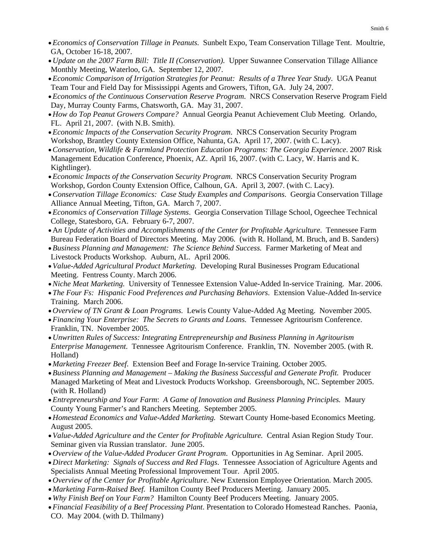- *Economics of Conservation Tillage in Peanuts.* Sunbelt Expo, Team Conservation Tillage Tent. Moultrie, GA, October 16-18, 2007.
- *Update on the 2007 Farm Bill: Title II (Conservation).* Upper Suwannee Conservation Tillage Alliance Monthly Meeting, Waterloo, GA. September 12, 2007.
- *Economic Comparison of Irrigation Strategies for Peanut: Results of a Three Year Study*. UGA Peanut Team Tour and Field Day for Mississippi Agents and Growers, Tifton, GA. July 24, 2007.
- *Economics of the Continuous Conservation Reserve Program*. NRCS Conservation Reserve Program Field Day, Murray County Farms, Chatsworth, GA. May 31, 2007.
- *How do Top Peanut Growers Compare?* Annual Georgia Peanut Achievement Club Meeting. Orlando, FL. April 21, 2007. (with N.B. Smith).
- *Economic Impacts of the Conservation Security Program*. NRCS Conservation Security Program Workshop, Brantley County Extension Office, Nahunta, GA. April 17, 2007. (with C. Lacy).
- •*Conservation, Wildlife & Farmland Protection Education Programs: The Georgia Experience*. 2007 Risk Management Education Conference, Phoenix, AZ. April 16, 2007. (with C. Lacy, W. Harris and K. Kightlinger).
- *Economic Impacts of the Conservation Security Program*. NRCS Conservation Security Program Workshop, Gordon County Extension Office, Calhoun, GA. April 3, 2007. (with C. Lacy).
- •*Conservation Tillage Economics: Case Study Examples and Comparisons*. Georgia Conservation Tillage Alliance Annual Meeting, Tifton, GA. March 7, 2007.
- *Economics of Conservation Tillage Systems*. Georgia Conservation Tillage School, Ogeechee Technical College, Statesboro, GA. February 6-7, 2007.
- A*n Update of Activities and Accomplishments of the Center for Profitable Agriculture*. Tennessee Farm Bureau Federation Board of Directors Meeting. May 2006. (with R. Holland, M. Bruch, and B. Sanders)
- *Business Planning and Management: The Science Behind Success.* Farmer Marketing of Meat and Livestock Products Workshop. Auburn, AL. April 2006.
- *Value-Added Agricultural Product Marketing.* Developing Rural Businesses Program Educational Meeting. Fentress County. March 2006.
- •*Niche Meat Marketing.* University of Tennessee Extension Value-Added In-service Training. Mar. 2006.
- *The Four Fs: Hispanic Food Preferences and Purchasing Behaviors*. Extension Value-Added In-service Training. March 2006.
- *Overview of TN Grant & Loan Programs*. Lewis County Value-Added Ag Meeting. November 2005.
- *Financing Your Enterprise: The Secrets to Grants and Loans.* Tennessee Agritourism Conference. Franklin, TN. November 2005.
- *Unwritten Rules of Success: Integrating Entrepreneurship and Business Planning in Agritourism Enterprise Management.* Tennessee Agritourism Conference. Franklin, TN. November 2005. (with R. Holland)
- *Marketing Freezer Beef*. Extension Beef and Forage In-service Training. October 2005.
- *Business Planning and Management Making the Business Successful and Generate Profit.* Producer Managed Marketing of Meat and Livestock Products Workshop. Greensborough, NC. September 2005. (with R. Holland)
- *Entrepreneurship and Your Farm*: *A Game of Innovation and Business Planning Principles.* Maury County Young Farmer's and Ranchers Meeting. September 2005.
- *Homestead Economics and Value-Added Marketing.* Stewart County Home-based Economics Meeting. August 2005.
- *Value-Added Agriculture and the Center for Profitable Agriculture.* Central Asian Region Study Tour. Seminar given via Russian translator. June 2005.
- *Overview of the Value-Added Producer Grant Program*. Opportunities in Ag Seminar. April 2005.
- *Direct Marketing: Signals of Success and Red Flags*. Tennessee Association of Agriculture Agents and Specialists Annual Meeting Professional Improvement Tour. April 2005.
- *Overview of the Center for Profitable Agriculture*. New Extension Employee Orientation. March 2005.
- *Marketing Farm-Raised Beef.* Hamilton County Beef Producers Meeting. January 2005.
- *Why Finish Beef on Your Farm?* Hamilton County Beef Producers Meeting. January 2005.
- *Financial Feasibility of a Beef Processing Plant*. Presentation to Colorado Homestead Ranches. Paonia, CO. May 2004. (with D. Thilmany)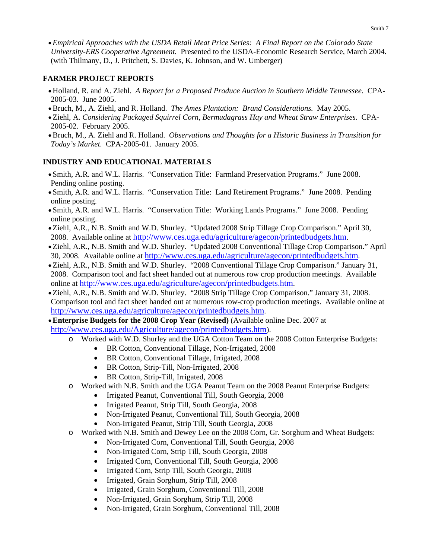• *Empirical Approaches with the USDA Retail Meat Price Series: A Final Report on the Colorado State University-ERS Cooperative Agreement.* Presented to the USDA-Economic Research Service, March 2004. (with Thilmany, D., J. Pritchett, S. Davies, K. Johnson, and W. Umberger)

### **FARMER PROJECT REPORTS**

- Holland, R. and A. Ziehl. *A Report for a Proposed Produce Auction in Southern Middle Tennessee.* CPA-2005-03. June 2005.
- •Bruch, M., A. Ziehl, and R. Holland. *The Ames Plantation: Brand Considerations.* May 2005.
- Ziehl, A. *Considering Packaged Squirrel Corn, Bermudagrass Hay and Wheat Straw Enterprises*. CPA-2005-02. February 2005.
- •Bruch, M., A. Ziehl and R. Holland. *Observations and Thoughts for a Historic Business in Transition for Today's Market.* CPA-2005-01. January 2005.

### **INDUSTRY AND EDUCATIONAL MATERIALS**

- Smith, A.R. and W.L. Harris. "Conservation Title: Farmland Preservation Programs." June 2008. Pending online posting.
- Smith, A.R. and W.L. Harris. "Conservation Title: Land Retirement Programs." June 2008. Pending online posting.
- Smith, A.R. and W.L. Harris. "Conservation Title: Working Lands Programs." June 2008. Pending online posting.
- Ziehl, A.R., N.B. Smith and W.D. Shurley. "Updated 2008 Strip Tillage Crop Comparison." April 30, 2008. Available online at <http://www.ces.uga.edu/agriculture/agecon/printedbudgets.htm>.
- Ziehl, A.R., N.B. Smith and W.D. Shurley. "Updated 2008 Conventional Tillage Crop Comparison." April 30, 2008. Available online at [http://www.ces.uga.edu/agriculture/agecon/printedbudgets.htm.](http://www.ces.uga.edu/agriculture/agecon/printedbudgets.htm)
- Ziehl, A.R., N.B. Smith and W.D. Shurley. "2008 Conventional Tillage Crop Comparison." January 31, 2008. Comparison tool and fact sheet handed out at numerous row crop production meetings. Available online at [http://www.ces.uga.edu/agriculture/agecon/printedbudgets.htm.](http://www.ces.uga.edu/agriculture/agecon/printedbudgets.htm)
- Ziehl, A.R., N.B. Smith and W.D. Shurley. "2008 Strip Tillage Crop Comparison." January 31, 2008. Comparison tool and fact sheet handed out at numerous row-crop production meetings. Available online at [http://www.ces.uga.edu/agriculture/agecon/printedbudgets.htm.](http://www.ces.uga.edu/agriculture/agecon/printedbudgets.htm)
- •**Enterprise Budgets for the 2008 Crop Year (Revised)** (Available online Dec. 2007 at [http://www.ces.uga.edu/Agriculture/agecon/printedbudgets.htm\)](http://www.ces.uga.edu/Agriculture/agecon/printedbudgets.htm).
	- o Worked with W.D. Shurley and the UGA Cotton Team on the 2008 Cotton Enterprise Budgets:
		- BR Cotton, Conventional Tillage, Non-Irrigated, 2008
		- BR Cotton, Conventional Tillage, Irrigated, 2008
		- BR Cotton, Strip-Till, Non-Irrigated, 2008
		- BR Cotton, Strip-Till, Irrigated, 2008
	- o Worked with N.B. Smith and the UGA Peanut Team on the 2008 Peanut Enterprise Budgets:
		- Irrigated Peanut, Conventional Till, South Georgia, 2008
		- Irrigated Peanut, Strip Till, South Georgia, 2008
		- Non-Irrigated Peanut, Conventional Till, South Georgia, 2008
		- Non-Irrigated Peanut, Strip Till, South Georgia, 2008
	- o Worked with N.B. Smith and Dewey Lee on the 2008 Corn, Gr. Sorghum and Wheat Budgets:
		- Non-Irrigated Corn, Conventional Till, South Georgia, 2008
		- Non-Irrigated Corn, Strip Till, South Georgia, 2008
		- Irrigated Corn, Conventional Till, South Georgia, 2008
		- Irrigated Corn, Strip Till, South Georgia, 2008
		- Irrigated, Grain Sorghum, Strip Till, 2008
		- Irrigated, Grain Sorghum, Conventional Till, 2008
		- Non-Irrigated, Grain Sorghum, Strip Till, 2008
		- Non-Irrigated, Grain Sorghum, Conventional Till, 2008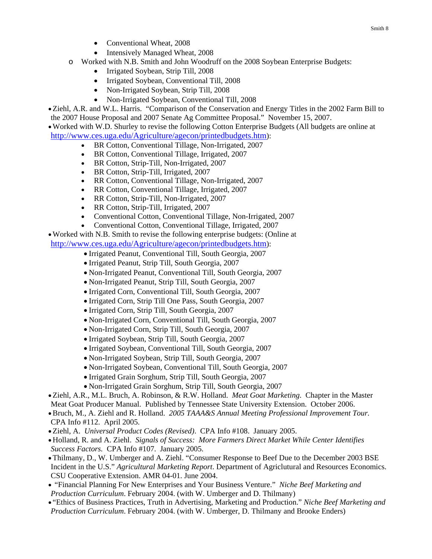- Conventional Wheat, 2008
- Intensively Managed Wheat, 2008
- o Worked with N.B. Smith and John Woodruff on the 2008 Soybean Enterprise Budgets:
	- Irrigated Soybean, Strip Till, 2008
	- Irrigated Soybean, Conventional Till, 2008
	- Non-Irrigated Soybean, Strip Till, 2008
	- Non-Irrigated Soybean, Conventional Till, 2008

• Ziehl, A.R. and W.L. Harris. "Comparison of the Conservation and Energy Titles in the 2002 Farm Bill to the 2007 House Proposal and 2007 Senate Ag Committee Proposal." November 15, 2007.

•Worked with W.D. Shurley to revise the following Cotton Enterprise Budgets (All budgets are online at [http://www.ces.uga.edu/Agriculture/agecon/printedbudgets.htm\)](http://www.ces.uga.edu/Agriculture/agecon/printedbudgets.htm):

- BR Cotton, Conventional Tillage, Non-Irrigated, 2007
- BR Cotton, Conventional Tillage, Irrigated, 2007
- BR Cotton, Strip-Till, Non-Irrigated, 2007
- BR Cotton, Strip-Till, Irrigated, 2007
- RR Cotton, Conventional Tillage, Non-Irrigated, 2007
- RR Cotton, Conventional Tillage, Irrigated, 2007
- RR Cotton, Strip-Till, Non-Irrigated, 2007
- RR Cotton, Strip-Till, Irrigated, 2007
- Conventional Cotton, Conventional Tillage, Non-Irrigated, 2007
- Conventional Cotton, Conventional Tillage, Irrigated, 2007

•Worked with N.B. Smith to revise the following enterprise budgets: (Online at

[http://www.ces.uga.edu/Agriculture/agecon/printedbudgets.htm\)](http://www.ces.uga.edu/Agriculture/agecon/printedbudgets.htm):

- Irrigated Peanut, Conventional Till, South Georgia, 2007
- Irrigated Peanut, Strip Till, South Georgia, 2007
- Non-Irrigated Peanut, Conventional Till, South Georgia, 2007
- Non-Irrigated Peanut, Strip Till, South Georgia, 2007
- Irrigated Corn, Conventional Till, South Georgia, 2007
- Irrigated Corn, Strip Till One Pass, South Georgia, 2007
- Irrigated Corn, Strip Till, South Georgia, 2007
- Non-Irrigated Corn, Conventional Till, South Georgia, 2007
- Non-Irrigated Corn, Strip Till, South Georgia, 2007
- Irrigated Soybean, Strip Till, South Georgia, 2007
- Irrigated Soybean, Conventional Till, South Georgia, 2007
- Non-Irrigated Soybean, Strip Till, South Georgia, 2007
- Non-Irrigated Soybean, Conventional Till, South Georgia, 2007
- Irrigated Grain Sorghum, Strip Till, South Georgia, 2007
- Non-Irrigated Grain Sorghum, Strip Till, South Georgia, 2007

• Ziehl, A.R., M.L. Bruch, A. Robinson, & R.W. Holland. *Meat Goat Marketing*. Chapter in the Master Meat Goat Producer Manual. Published by Tennessee State University Extension. October 2006.

- •Bruch, M., A. Ziehl and R. Holland. *2005 TAAA&S Annual Meeting Professional Improvement Tour.* CPA Info #112. April 2005.
- Ziehl, A. *Universal Product Codes (Revised)*. CPA Info #108. January 2005.
- Holland, R. and A. Ziehl. *Signals of Success: More Farmers Direct Market While Center Identifies Success Factors.* CPA Info #107. January 2005.
- Thilmany, D., W. Umberger and A. Ziehl. "Consumer Response to Beef Due to the December 2003 BSE Incident in the U.S." *Agricultural Marketing Report*. Department of Agriclutural and Resources Economics. CSU Cooperative Extension. AMR 04-01. June 2004.
- "Financial Planning For New Enterprises and Your Business Venture." *Niche Beef Marketing and Production Curriculum*. February 2004. (with W. Umberger and D. Thilmany)
- "Ethics of Business Practices, Truth in Advertising, Marketing and Production." *Niche Beef Marketing and Production Curriculum*. February 2004. (with W. Umberger, D. Thilmany and Brooke Enders)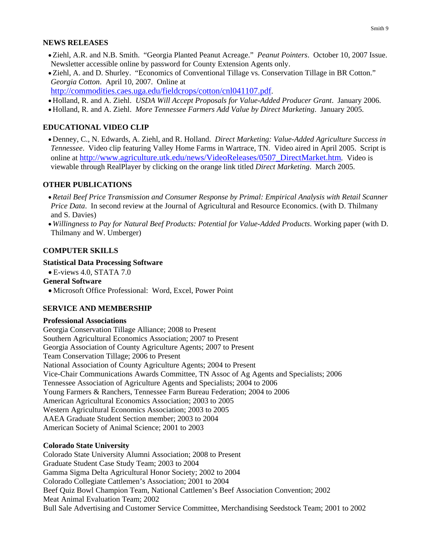### **NEWS RELEASES**

- Ziehl, A.R. and N.B. Smith. "Georgia Planted Peanut Acreage." *Peanut Pointers*. October 10, 2007 Issue. Newsletter accessible online by password for County Extension Agents only.
- Ziehl, A. and D. Shurley. "Economics of Conventional Tillage vs. Conservation Tillage in BR Cotton." *Georgia Cotton*. April 10, 2007. Online at

[http://commodities.caes.uga.edu/fieldcrops/cotton/cnl041107.pdf.](http://commodities.caes.uga.edu/fieldcrops/cotton/cnl041107.pdf)

- Holland, R. and A. Ziehl. *USDA Will Accept Proposals for Value-Added Producer Grant*. January 2006.
- Holland, R. and A. Ziehl. *More Tennessee Farmers Add Value by Direct Marketing*. January 2005.

### **EDUCATIONAL VIDEO CLIP**

• Denney, C., N. Edwards, A. Ziehl, and R. Holland. *Direct Marketing: Value-Added Agriculture Success in Tennessee*. Video clip featuring Valley Home Farms in Wartrace, TN. Video aired in April 2005. Script is online at [http://www.agriculture.utk.edu/news/VideoReleases/0507\\_DirectMarket.htm.](http://www.agriculture.utk.edu/news/VideoReleases/0507_DirectMarket.htm) Video is viewable through RealPlayer by clicking on the orange link titled *Direct Marketing*. March 2005.

### **OTHER PUBLICATIONS**

- *Retail Beef Price Transmission and Consumer Response by Primal: Empirical Analysis with Retail Scanner Price Data*. In second review at the Journal of Agricultural and Resource Economics. (with D. Thilmany and S. Davies)
- *Willingness to Pay for Natural Beef Products: Potential for Value-Added Products*. Working paper (with D. Thilmany and W. Umberger)

### **COMPUTER SKILLS**

### **Statistical Data Processing Software**

• E-views 4.0, STATA 7.0

#### **General Software**

• Microsoft Office Professional: Word, Excel, Power Point

### **SERVICE AND MEMBERSHIP**

### **Professional Associations**

Georgia Conservation Tillage Alliance; 2008 to Present Southern Agricultural Economics Association; 2007 to Present Georgia Association of County Agriculture Agents; 2007 to Present Team Conservation Tillage; 2006 to Present National Association of County Agriculture Agents; 2004 to Present Vice-Chair Communications Awards Committee, TN Assoc of Ag Agents and Specialists; 2006 Tennessee Association of Agriculture Agents and Specialists; 2004 to 2006 Young Farmers & Ranchers, Tennessee Farm Bureau Federation; 2004 to 2006 American Agricultural Economics Association; 2003 to 2005 Western Agricultural Economics Association; 2003 to 2005 AAEA Graduate Student Section member; 2003 to 2004 American Society of Animal Science; 2001 to 2003

### **Colorado State University**

Colorado State University Alumni Association; 2008 to Present Graduate Student Case Study Team; 2003 to 2004 Gamma Sigma Delta Agricultural Honor Society; 2002 to 2004 Colorado Collegiate Cattlemen's Association; 2001 to 2004 Beef Quiz Bowl Champion Team, National Cattlemen's Beef Association Convention; 2002 Meat Animal Evaluation Team; 2002 Bull Sale Advertising and Customer Service Committee, Merchandising Seedstock Team; 2001 to 2002